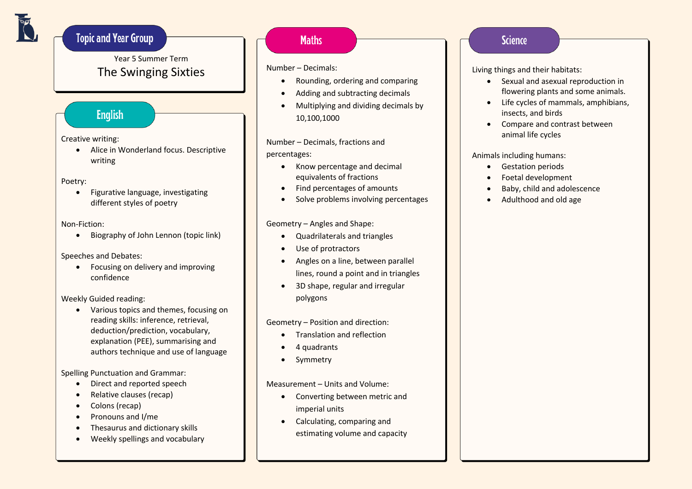## **Topic and Year Group**

### Year 5 Summer Term The Swinging Sixties

## **English**

### Creative writing:

• Alice in Wonderland focus. Descriptive writing

### Poetry:

l

• Figurative language, investigating different styles of poetry

### Non-Fiction:

• Biography of John Lennon (topic link)

### Speeches and Debates:

• Focusing on delivery and improving confidence

Weekly Guided reading:

• Various topics and themes, focusing on reading skills: inference, retrieval, deduction/prediction, vocabulary, explanation (PEE), summarising and authors technique and use of language

Spelling Punctuation and Grammar:

- Direct and reported speech
- Relative clauses (recap)
- Colons (recap)
- Pronouns and I/me
- Thesaurus and dictionary skills
- Weekly spellings and vocabulary

## **Maths**

Number – Decimals:

- Rounding, ordering and comparing
- Adding and subtracting decimals
- Multiplying and dividing decimals by 10,100,1000

Number – Decimals, fractions and percentages:

- Know percentage and decimal equivalents of fractions
- Find percentages of amounts
- Solve problems involving percentages

Geometry – Angles and Shape:

- Quadrilaterals and triangles
- Use of protractors
- Angles on a line, between parallel lines, round a point and in triangles
- 3D shape, regular and irregular polygons

Geometry – Position and direction:

- Translation and reflection
- 4 quadrants
- **Symmetry**

Measurement – Units and Volume:

- Converting between metric and imperial units
- Calculating, comparing and estimating volume and capacity

### **Science**

Living things and their habitats:

- Sexual and asexual reproduction in flowering plants and some animals.
- Life cycles of mammals, amphibians, insects, and birds
- Compare and contrast between animal life cycles

Animals including humans:

- Gestation periods
- Foetal development
- Baby, child and adolescence
- Adulthood and old age